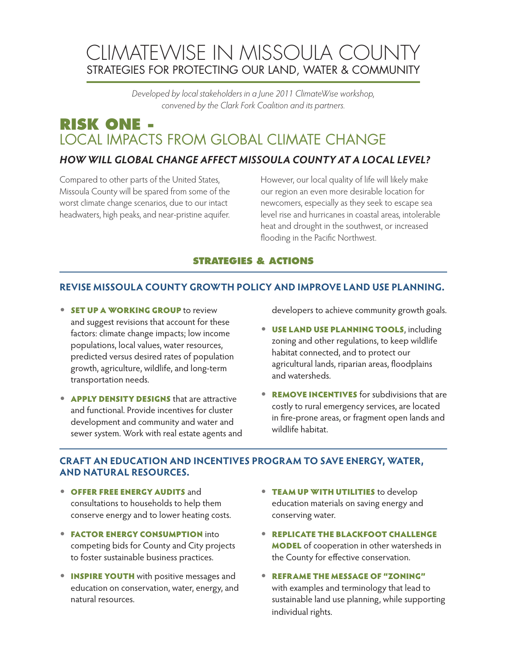# CLIMATEWISE IN MISSOULA COUNTY STRATEGIES FOR PROTECTING OUR LAND, WATER & COMMUNITY

*Developed by local stakeholders in a June 2011 ClimateWise workshop, convened by the Clark Fork Coalition and its partners.*

## **RISK ONE -**  LOCAL IMPACTS FROM GLOBAL CLIMATE CHANGE

### *HOW WILL GLOBAL CHANGE AFFECT MISSOULA COUNTY AT A LOCAL LEVEL?*

Compared to other parts of the United States, Missoula County will be spared from some of the worst climate change scenarios, due to our intact headwaters, high peaks, and near-pristine aquifer. However, our local quality of life will likely make our region an even more desirable location for newcomers, especially as they seek to escape sea level rise and hurricanes in coastal areas, intolerable heat and drought in the southwest, or increased flooding in the Pacific Northwest.

#### **STRATEGIES & ACTIONS**

#### **REVISE MISSOULA COUNTY GROWTH POLICY AND IMPROVE LAND USE PLANNING.**

- **SET UP A WORKING GROUP** to review and suggest revisions that account for these factors: climate change impacts; low income populations, local values, water resources, predicted versus desired rates of population growth, agriculture, wildlife, and long-term transportation needs.
- **APPLY DENSITY DESIGNS** that are attractive and functional. Provide incentives for cluster development and community and water and sewer system. Work with real estate agents and

developers to achieve community growth goals.

- **USE LAND USE PLANNING TOOLS, including** zoning and other regulations, to keep wildlife habitat connected, and to protect our agricultural lands, riparian areas, floodplains and watersheds.
- **REMOVE INCENTIVES** for subdivisions that are costly to rural emergency services, are located in fire-prone areas, or fragment open lands and wildlife habitat.

#### **CRAFT AN EDUCATION AND INCENTIVES PROGRAM TO SAVE ENERGY, WATER, AND NATURAL RESOURCES.**

- **OFFER FREE ENERGY AUDITS and** consultations to households to help them conserve energy and to lower heating costs.
- **FACTOR ENERGY CONSUMPTION into** competing bids for County and City projects to foster sustainable business practices.
- **INSPIRE YOUTH** with positive messages and education on conservation, water, energy, and natural resources.
- TEAM UP WITH UTILITIES to develop education materials on saving energy and conserving water.
- **REPLICATE THE BLACKFOOT CHALLENGE** MODEL of cooperation in other watersheds in the County for effective conservation.
- • REFRAME THE MESSAGE OF "ZONING" with examples and terminology that lead to sustainable land use planning, while supporting individual rights.